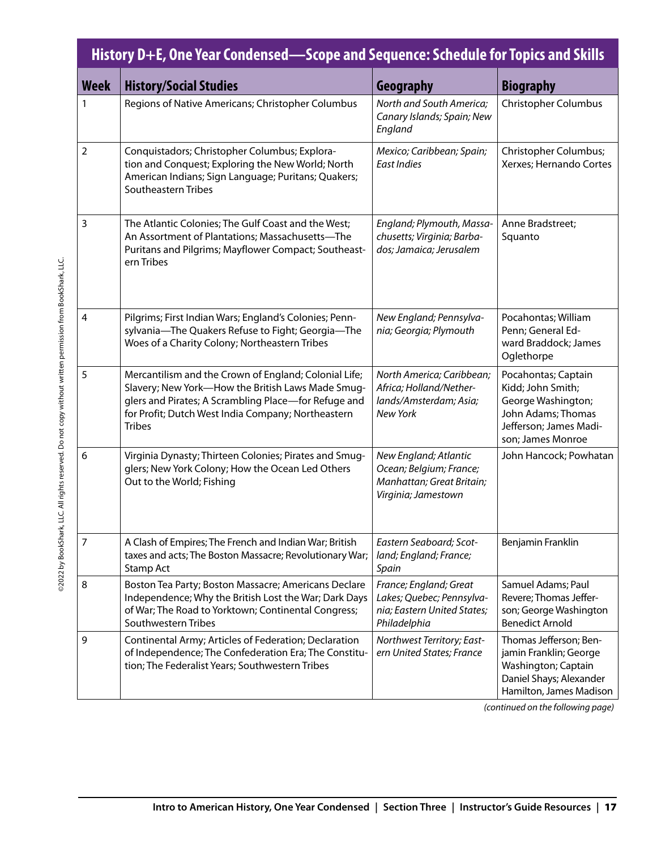|                | History D+E, One Year Condensed—Scope and Sequence: Schedule for Topics and Skills                                                                                                                                                        |                                                                                                      |                                                                                                                                     |  |  |  |  |
|----------------|-------------------------------------------------------------------------------------------------------------------------------------------------------------------------------------------------------------------------------------------|------------------------------------------------------------------------------------------------------|-------------------------------------------------------------------------------------------------------------------------------------|--|--|--|--|
| Week           | <b>History/Social Studies</b>                                                                                                                                                                                                             | Geography                                                                                            | <b>Biography</b>                                                                                                                    |  |  |  |  |
| 1              | Regions of Native Americans; Christopher Columbus                                                                                                                                                                                         | North and South America;<br>Canary Islands; Spain; New<br>England                                    | <b>Christopher Columbus</b>                                                                                                         |  |  |  |  |
| $\overline{2}$ | Conquistadors; Christopher Columbus; Explora-<br>tion and Conquest; Exploring the New World; North<br>American Indians; Sign Language; Puritans; Quakers;<br>Southeastern Tribes                                                          | Mexico; Caribbean; Spain;<br>East Indies                                                             | Christopher Columbus;<br>Xerxes; Hernando Cortes                                                                                    |  |  |  |  |
| 3              | The Atlantic Colonies; The Gulf Coast and the West;<br>An Assortment of Plantations; Massachusetts-The<br>Puritans and Pilgrims; Mayflower Compact; Southeast-<br>ern Tribes                                                              | England; Plymouth, Massa-<br>chusetts; Virginia; Barba-<br>dos; Jamaica; Jerusalem                   | Anne Bradstreet;<br>Squanto                                                                                                         |  |  |  |  |
| $\overline{4}$ | Pilgrims; First Indian Wars; England's Colonies; Penn-<br>sylvania-The Quakers Refuse to Fight; Georgia-The<br>Woes of a Charity Colony; Northeastern Tribes                                                                              | New England; Pennsylva-<br>nia; Georgia; Plymouth                                                    | Pocahontas; William<br>Penn; General Ed-<br>ward Braddock; James<br>Oglethorpe                                                      |  |  |  |  |
| 5              | Mercantilism and the Crown of England; Colonial Life;<br>Slavery; New York-How the British Laws Made Smug-<br>glers and Pirates; A Scrambling Place-for Refuge and<br>for Profit; Dutch West India Company; Northeastern<br><b>Tribes</b> | North America; Caribbean;<br>Africa; Holland/Nether-<br>lands/Amsterdam; Asia;<br><b>New York</b>    | Pocahontas; Captain<br>Kidd; John Smith;<br>George Washington;<br>John Adams; Thomas<br>Jefferson; James Madi-<br>son; James Monroe |  |  |  |  |
| 6              | Virginia Dynasty; Thirteen Colonies; Pirates and Smug-<br>glers; New York Colony; How the Ocean Led Others<br>Out to the World; Fishing                                                                                                   | New England; Atlantic<br>Ocean; Belgium; France;<br>Manhattan; Great Britain;<br>Virginia; Jamestown | John Hancock; Powhatan                                                                                                              |  |  |  |  |
| 7              | A Clash of Empires; The French and Indian War; British<br>taxes and acts; The Boston Massacre; Revolutionary War;<br>Stamp Act                                                                                                            | Eastern Seaboard; Scot-<br>land; England; France;<br>Spain                                           | Benjamin Franklin                                                                                                                   |  |  |  |  |
| 8              | Boston Tea Party; Boston Massacre; Americans Declare<br>Independence; Why the British Lost the War; Dark Days<br>of War; The Road to Yorktown; Continental Congress;<br>Southwestern Tribes                                               | France; England; Great<br>Lakes; Quebec; Pennsylva-<br>nia; Eastern United States;<br>Philadelphia   | Samuel Adams; Paul<br>Revere; Thomas Jeffer-<br>son; George Washington<br><b>Benedict Arnold</b>                                    |  |  |  |  |
| 9              | Continental Army; Articles of Federation; Declaration<br>of Independence; The Confederation Era; The Constitu-<br>tion; The Federalist Years; Southwestern Tribes                                                                         | Northwest Territory; East-<br>ern United States; France                                              | Thomas Jefferson; Ben-<br>jamin Franklin; George<br>Washington; Captain<br>Daniel Shays; Alexander<br>Hamilton, James Madison       |  |  |  |  |

*(continued on the following page)*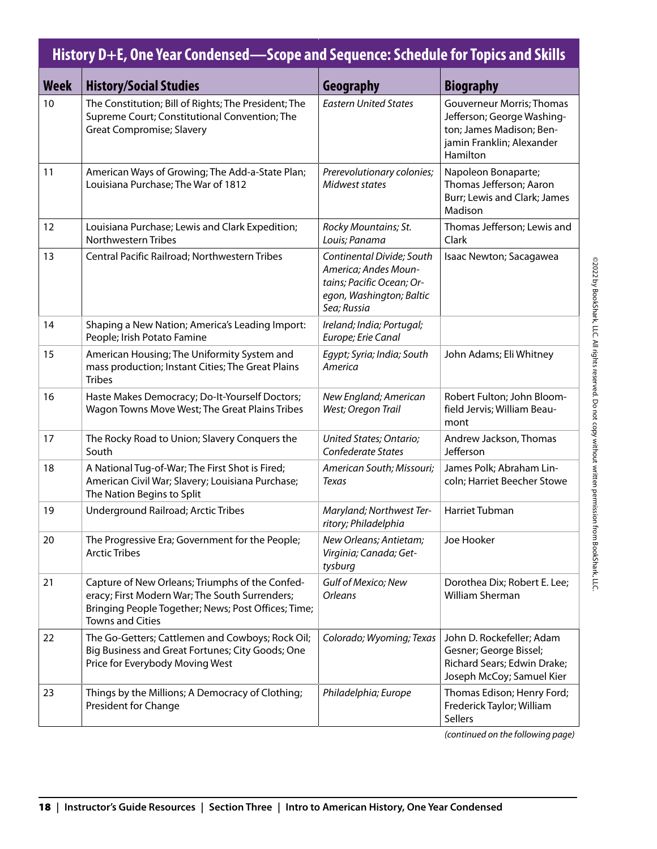| History D+E, One Year Condensed—Scope and Sequence: Schedule for Topics and Skills |                                                                                                                                                                                     |                                                                                                                           |                                                                                                                                     |  |  |  |
|------------------------------------------------------------------------------------|-------------------------------------------------------------------------------------------------------------------------------------------------------------------------------------|---------------------------------------------------------------------------------------------------------------------------|-------------------------------------------------------------------------------------------------------------------------------------|--|--|--|
| <b>Week</b>                                                                        | <b>History/Social Studies</b>                                                                                                                                                       | Geography                                                                                                                 | <b>Biography</b>                                                                                                                    |  |  |  |
| 10                                                                                 | The Constitution; Bill of Rights; The President; The<br>Supreme Court; Constitutional Convention; The<br><b>Great Compromise; Slavery</b>                                           | <b>Eastern United States</b>                                                                                              | <b>Gouverneur Morris; Thomas</b><br>Jefferson; George Washing-<br>ton; James Madison; Ben-<br>jamin Franklin; Alexander<br>Hamilton |  |  |  |
| 11                                                                                 | American Ways of Growing; The Add-a-State Plan;<br>Louisiana Purchase; The War of 1812                                                                                              | Prerevolutionary colonies;<br>Midwest states                                                                              | Napoleon Bonaparte;<br>Thomas Jefferson; Aaron<br>Burr; Lewis and Clark; James<br>Madison                                           |  |  |  |
| 12                                                                                 | Louisiana Purchase; Lewis and Clark Expedition;<br><b>Northwestern Tribes</b>                                                                                                       | Rocky Mountains; St.<br>Louis; Panama                                                                                     | Thomas Jefferson; Lewis and<br>Clark                                                                                                |  |  |  |
| 13                                                                                 | Central Pacific Railroad; Northwestern Tribes                                                                                                                                       | Continental Divide; South<br>America; Andes Moun-<br>tains; Pacific Ocean; Or-<br>egon, Washington; Baltic<br>Sea; Russia | Isaac Newton; Sacagawea                                                                                                             |  |  |  |
| 14                                                                                 | Shaping a New Nation; America's Leading Import:<br>People; Irish Potato Famine                                                                                                      | Ireland; India; Portugal;<br>Europe; Erie Canal                                                                           |                                                                                                                                     |  |  |  |
| 15                                                                                 | American Housing; The Uniformity System and<br>mass production; Instant Cities; The Great Plains<br><b>Tribes</b>                                                                   | Egypt; Syria; India; South<br>America                                                                                     | John Adams; Eli Whitney                                                                                                             |  |  |  |
| 16                                                                                 | Haste Makes Democracy; Do-It-Yourself Doctors;<br>Wagon Towns Move West; The Great Plains Tribes                                                                                    | New England; American<br>West; Oregon Trail                                                                               | Robert Fulton; John Bloom-<br>field Jervis; William Beau-<br>mont                                                                   |  |  |  |
| 17                                                                                 | The Rocky Road to Union; Slavery Conquers the<br>South                                                                                                                              | United States; Ontario;<br>Confederate States                                                                             | Andrew Jackson, Thomas<br>Jefferson                                                                                                 |  |  |  |
| 18                                                                                 | A National Tug-of-War; The First Shot is Fired;<br>American Civil War; Slavery; Louisiana Purchase;<br>The Nation Begins to Split                                                   | American South; Missouri;<br>Texas                                                                                        | James Polk; Abraham Lin-<br>coln; Harriet Beecher Stowe                                                                             |  |  |  |
| 19                                                                                 | Underground Railroad; Arctic Tribes                                                                                                                                                 | Maryland; Northwest Ter-<br>ritory; Philadelphia                                                                          | <b>Harriet Tubman</b>                                                                                                               |  |  |  |
| 20                                                                                 | The Progressive Era; Government for the People;<br><b>Arctic Tribes</b>                                                                                                             | New Orleans; Antietam;<br>Virginia; Canada; Get-<br>tysburg                                                               | Joe Hooker                                                                                                                          |  |  |  |
| 21                                                                                 | Capture of New Orleans; Triumphs of the Confed-<br>eracy; First Modern War; The South Surrenders;<br>Bringing People Together; News; Post Offices; Time;<br><b>Towns and Cities</b> | Gulf of Mexico; New<br><b>Orleans</b>                                                                                     | Dorothea Dix; Robert E. Lee;<br>William Sherman                                                                                     |  |  |  |
| 22                                                                                 | The Go-Getters; Cattlemen and Cowboys; Rock Oil;<br>Big Business and Great Fortunes; City Goods; One<br>Price for Everybody Moving West                                             | Colorado; Wyoming; Texas                                                                                                  | John D. Rockefeller; Adam<br>Gesner; George Bissel;<br>Richard Sears; Edwin Drake;<br>Joseph McCoy; Samuel Kier                     |  |  |  |
| 23                                                                                 | Things by the Millions; A Democracy of Clothing;<br>President for Change                                                                                                            | Philadelphia; Europe                                                                                                      | Thomas Edison; Henry Ford;<br>Frederick Taylor; William<br>Sellers                                                                  |  |  |  |

*(continued on the following page)*